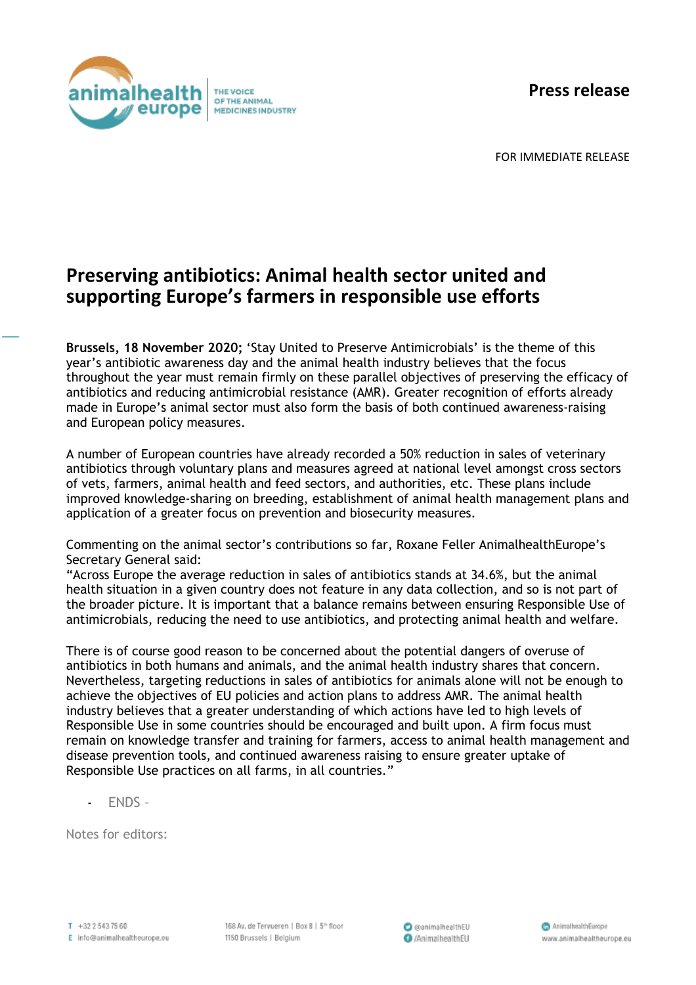**Press release**



FOR IMMEDIATE RELEASE

## **Preserving antibiotics: Animal health sector united and supporting Europe's farmers in responsible use efforts**

**Brussels, 18 November 2020;** 'Stay United to Preserve Antimicrobials' is the theme of this year's antibiotic awareness day and the animal health industry believes that the focus throughout the year must remain firmly on these parallel objectives of preserving the efficacy of antibiotics and reducing antimicrobial resistance (AMR). Greater recognition of efforts already made in Europe's animal sector must also form the basis of both continued awareness-raising and European policy measures.

A number of European countries have already recorded a 50% reduction in sales of veterinary antibiotics through voluntary plans and measures agreed at national level amongst cross sectors of vets, farmers, animal health and feed sectors, and authorities, etc. These plans include improved knowledge-sharing on breeding, establishment of animal health management plans and application of a greater focus on prevention and biosecurity measures.

Commenting on the animal sector's contributions so far, Roxane Feller AnimalhealthEurope's Secretary General said:

"Across Europe the average reduction in sales of antibiotics stands at 34.6%, but the animal health situation in a given country does not feature in any data collection, and so is not part of the broader picture. It is important that a balance remains between ensuring Responsible Use of antimicrobials, reducing the need to use antibiotics, and protecting animal health and welfare.

There is of course good reason to be concerned about the potential dangers of overuse of antibiotics in both humans and animals, and the animal health industry shares that concern. Nevertheless, targeting reductions in sales of antibiotics for animals alone will not be enough to achieve the objectives of EU policies and action plans to address AMR. The animal health industry believes that a greater understanding of which actions have led to high levels of Responsible Use in some countries should be encouraged and built upon. A firm focus must remain on knowledge transfer and training for farmers, access to animal health management and disease prevention tools, and continued awareness raising to ensure greater uptake of Responsible Use practices on all farms, in all countries."

- ENDS –

Notes for editors: